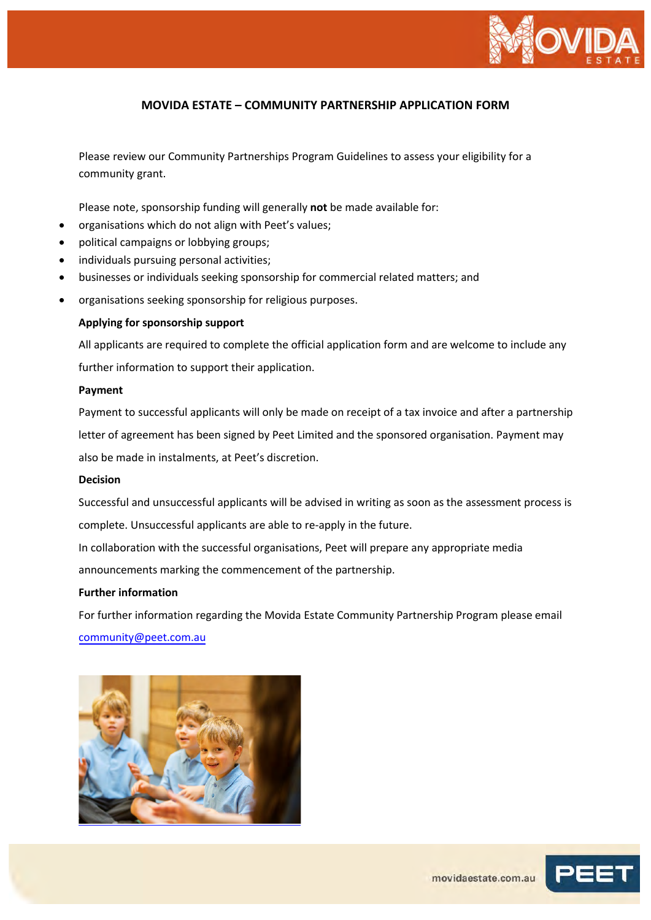

Please review our Community Partnerships Program Guidelines to assess your eligibility for a community grant.

Please note, sponsorship funding will generally **not** be made available for:

- organisations which do not align with Peet's values;
- political campaigns or lobbying groups;
- individuals pursuing personal activities;
- businesses or individuals seeking sponsorship for commercial related matters; and
- organisations seeking sponsorship for religious purposes.

#### **Applying for sponsorship support**

All applicants are required to complete the official application form and are welcome to include any further information to support their application.

#### **Payment**

Payment to successful applicants will only be made on receipt of a tax invoice and after a partnership letter of agreement has been signed by Peet Limited and the sponsored organisation. Payment may also be made in instalments, at Peet's discretion.

#### **Decision**

Successful and unsuccessful applicants will be advised in writing as soon as the assessment process is complete. Unsuccessful applicants are able to re-apply in the future.

In collaboration with the successful organisations, Peet will prepare any appropriate media

announcements marking the commencement of the partnership.

### **Further information**

For further information regarding the Movida Estate Community Partnership Program please email community@peet.co[m.au](mailto:community@peet.com.au)



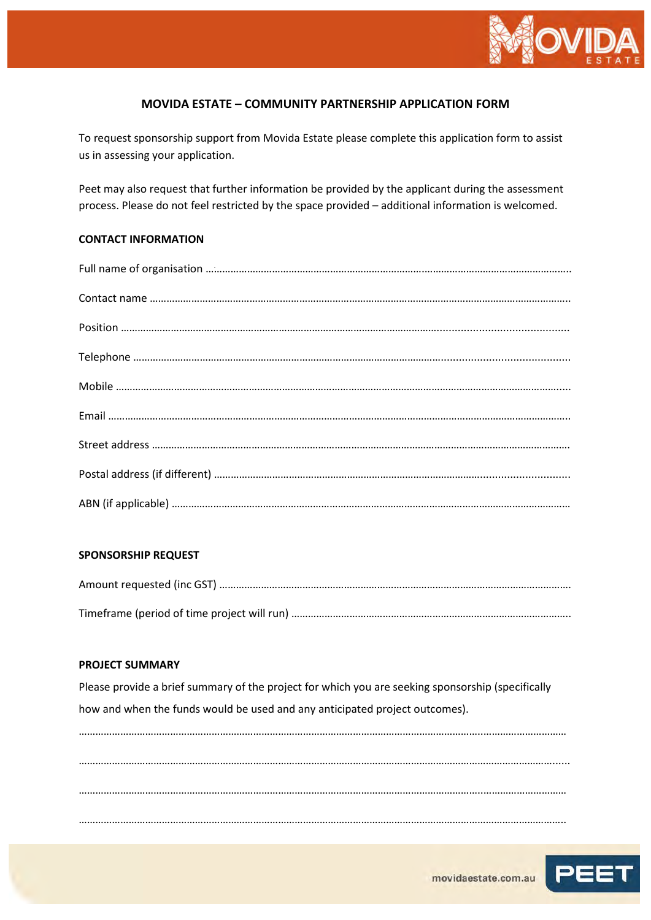

To request sponsorship support from Movida Estate please complete this application form to assist us in assessing your application.

Peet may also request that further information be provided by the applicant during the assessment process. Please do not feel restricted by the space provided – additional information is welcomed.

## **CONTACT INFORMATION**

### **SPONSORSHIP REQUEST**

### **PROJECT SUMMARY**

Please provide a brief summary of the project for which you are seeking sponsorship (specifically how and when the funds would be used and any anticipated project outcomes).

………………………………………………………………………………………………………………………………..………………………… ………………………………………………………………………………………………………………………………………………………...... ………………………………………………………………………………………………………………………………..………………………… …………………………………………………………………………………………………………………………………………………………..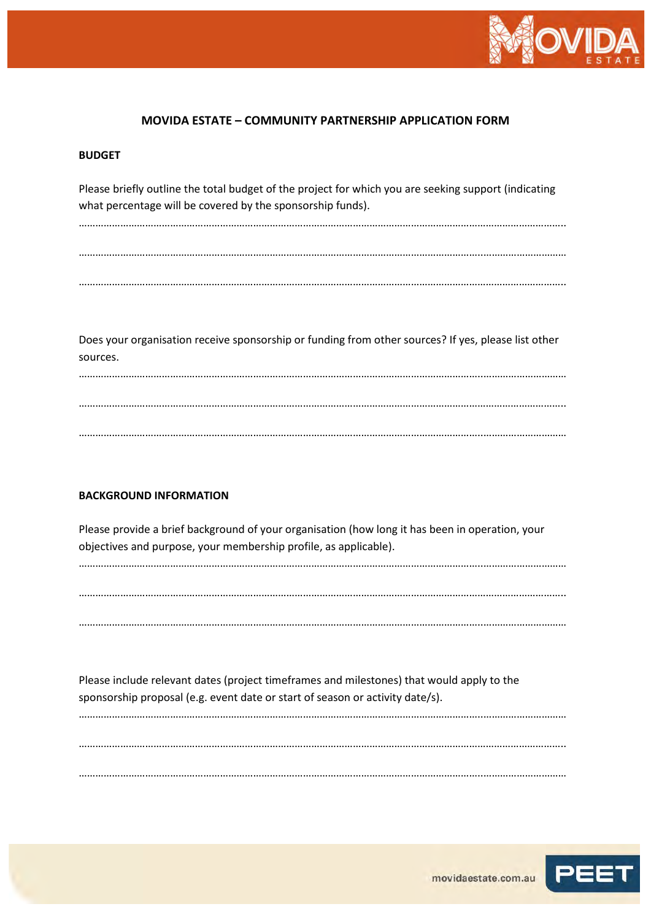

#### **BUDGET**

Please briefly outline the total budget of the project for which you are seeking support (indicating what percentage will be covered by the sponsorship funds).

………………………………………………………………………………………………………………………………………………………….. ………………………………………………………………………………………………………………………………..………………………… …………………………………………………………………………………………………………………………………………………………..

Does your organisation receive sponsorship or funding from other sources? If yes, please list other sources.

………………………………………………………………………………………………………………………………………………………….. ………………………………………………………………………………………………………………………………..…………………………

………………………………………………………………………………………………………………………………..…………………………

### **BACKGROUND INFORMATION**

Please provide a brief background of your organisation (how long it has been in operation, your objectives and purpose, your membership profile, as applicable).

………………………………………………………………………………………………………………………………..………………………… ………………………………………………………………………………………………………………………………………………………….. ………………………………………………………………………………………………………………………………..…………………………

Please include relevant dates (project timeframes and milestones) that would apply to the sponsorship proposal (e.g. event date or start of season or activity date/s).

………………………………………………………………………………………………………………………………………………………….. ………………………………………………………………………………………………………………………………..…………………………

………………………………………………………………………………………………………………………………..…………………………